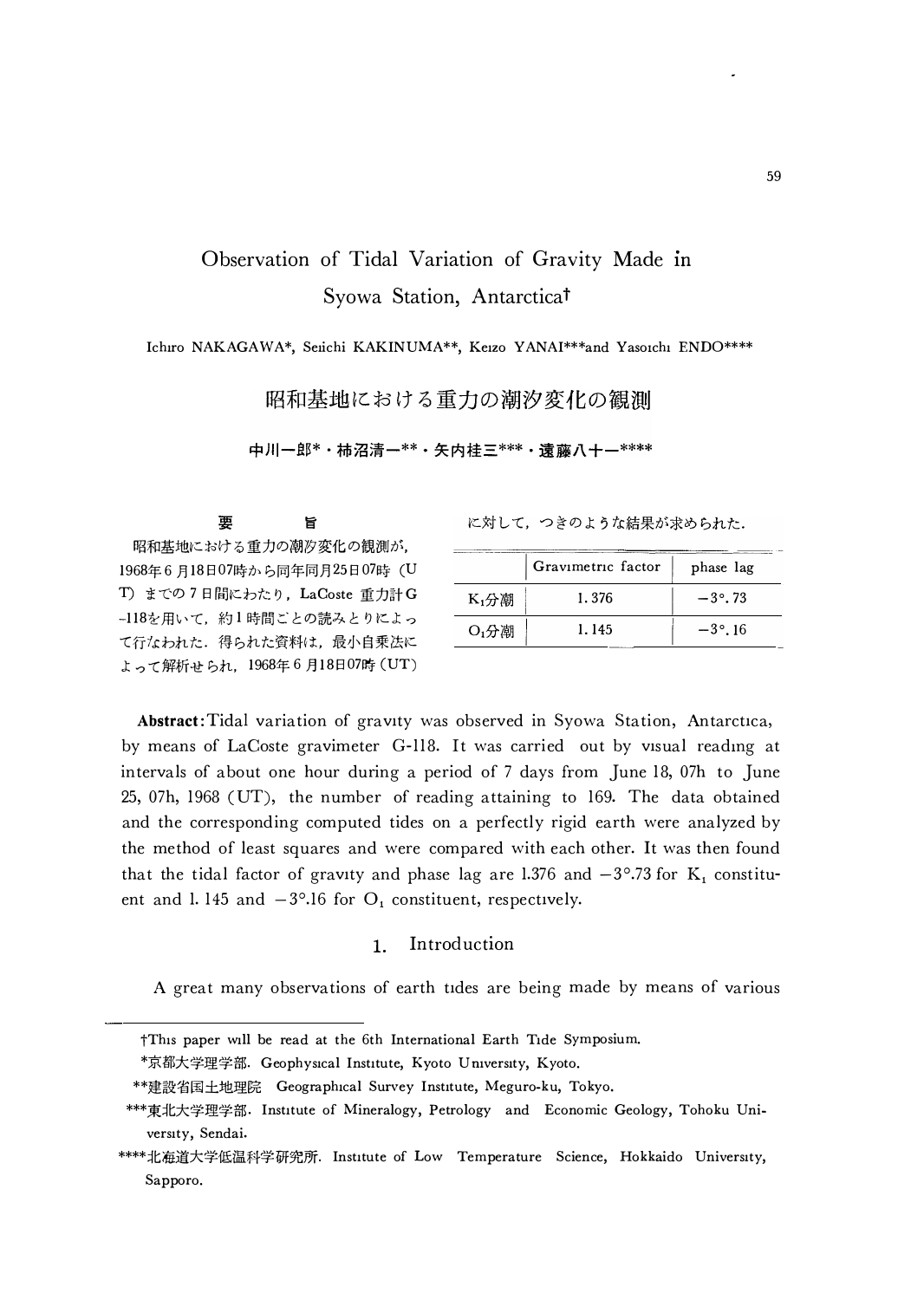# Observation of Tidal Variation of Gravity Made in Syowa Station, Antarctica<sup>t</sup>

Ichiro NAKAGAWA\*, Seiichi KAKINUMA\*\*, Keizo YANAI\*\*\*and Yasoichi ENDO\*\*\*\*

昭和基地における重力の潮汐変化の観測

中川一郎\*・柿沼清一\*\*・矢内桂三\*\*\*・遠藤八十一\*\*\*\*

旨 昭和基地における重力の潮汐変化の観測が, 1968年6月18日07時から同年同月25日07時 (U T) までの7日間にわたり、LaCoste 重力計G -118を用いて、約1時間ごとの読みとりによっ て行なわれた. 得られた資料は、最小自乗法に よって解析せられ、1968年6月18日07時 (UT)

要

に対して、つきのような結果が求められた.

|                     | phase lag |                   |
|---------------------|-----------|-------------------|
| $K$ <sub>1</sub> 分潮 | 1.376     | $-3^{\circ}$ . 73 |
| O <sub>1</sub> 分潮   | 1.145     | $-3^{\circ}$ . 16 |

Abstract: Tidal variation of gravity was observed in Syowa Station, Antarctica, by means of LaCoste gravimeter G-118. It was carried out by visual reading at intervals of about one hour during a period of 7 days from June 18, 07h to June 25, 07h, 1968 (UT), the number of reading attaining to 169. The data obtained and the corresponding computed tides on a perfectly rigid earth were analyzed by the method of least squares and were compared with each other. It was then found that the tidal factor of gravity and phase lag are 1.376 and  $-3^{\circ}$ .73 for K<sub>1</sub> constituent and 1.145 and  $-3^{\circ}$ .16 for  $O_i$  constituent, respectively.

#### Introduction  $\mathbf{1}$ .

A great many observations of earth tides are being made by means of various

<sup>†</sup>This paper will be read at the 6th International Earth Tide Symposium.

<sup>\*</sup>京都大学理学部. Geophysical Institute, Kyoto University, Kyoto.

<sup>\*\*</sup>建設省国土地理院 Geographical Survey Institute, Meguro-ku, Tokyo.

<sup>\*\*\*</sup>東北大学理学部. Institute of Mineralogy, Petrology and Economic Geology, Tohoku University, Sendai.

<sup>\*\*\*\*</sup>北海道大学低温科学研究所. Institute of Low Temperature Science, Hokkaido University, Sapporo.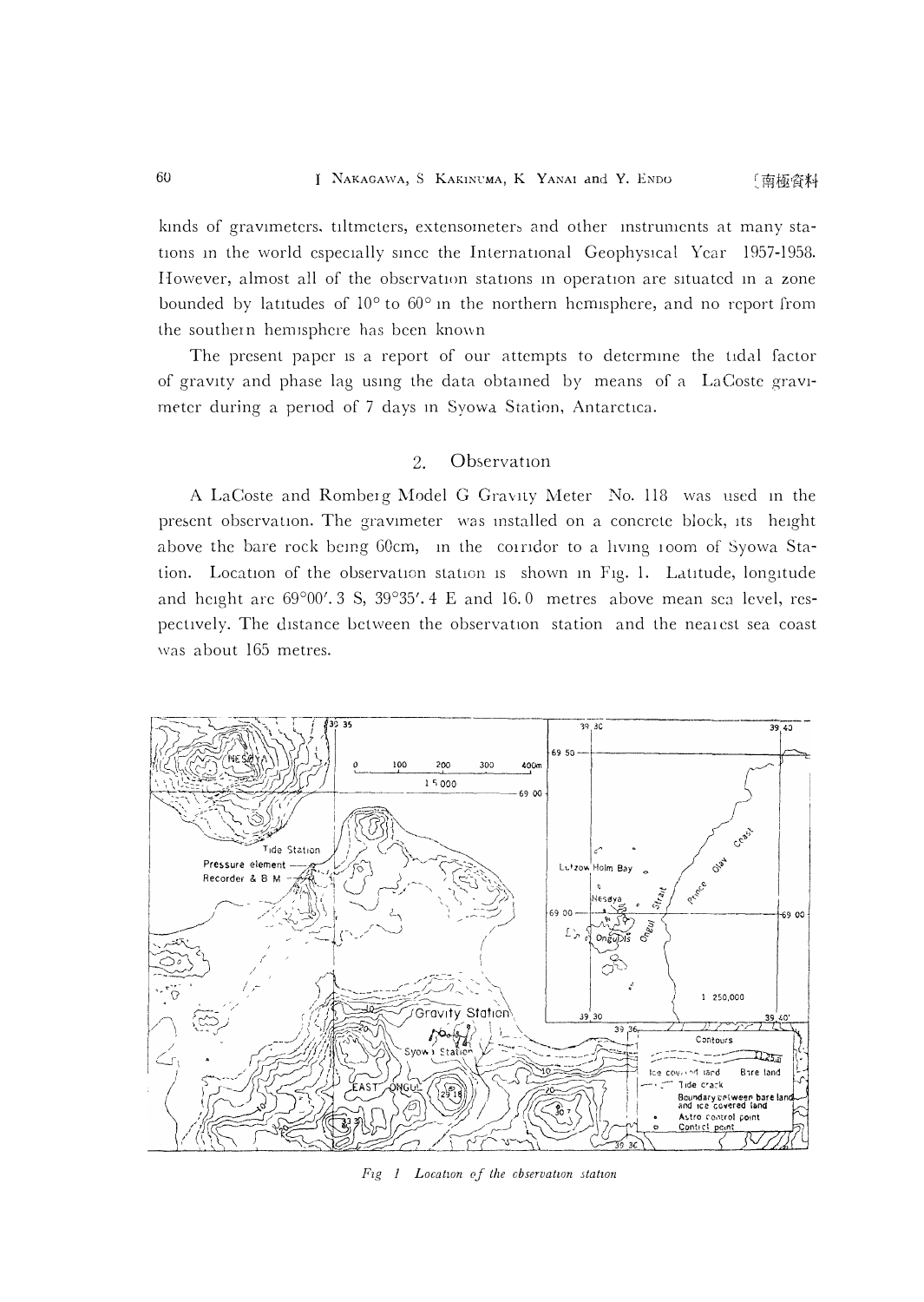#### 60 NAKAGAWA, S KAKINCMA, K YANAI and Y. ENDO 〔南極資料

kinds of gravimeters, tiltmeters, extensometers and other instruments at many stations in the world especially since the International Geophysical Year 1957-1958. However, almost all of the observation stations in operation are situated in a zone **bounded by latitudes of 10**° **to 60** ° **m the northern hemisphere, and no report from**  the southern hemisphere has been known

**The present paper is a report of our attempts to detcrmme the tidal factor of gravity and phase lag usmg the data obtamed by means of a LaCoste gravi**meter during a period of 7 days in Syowa Station, Antarctica.

### 2. Observation

**A LaCoste and Romberg Model G Gravny Meter No. 118 was used m the**  present observation. The gravimeter was installed on a concrete block, its height above the bare rock being 60cm, in the coiridor to a living 100m of Syowa Station. Location of the observation station is shown in Fig. 1. Latitude, longitude and height are 69°00'. 3 S, 39°35'. 4 E and 16.0 metres above mean sea level, respectively. The distance between the observation station and the neaiest sea coast **was about 165 metres.** 



*Fzg J Location of the cbservatwn station*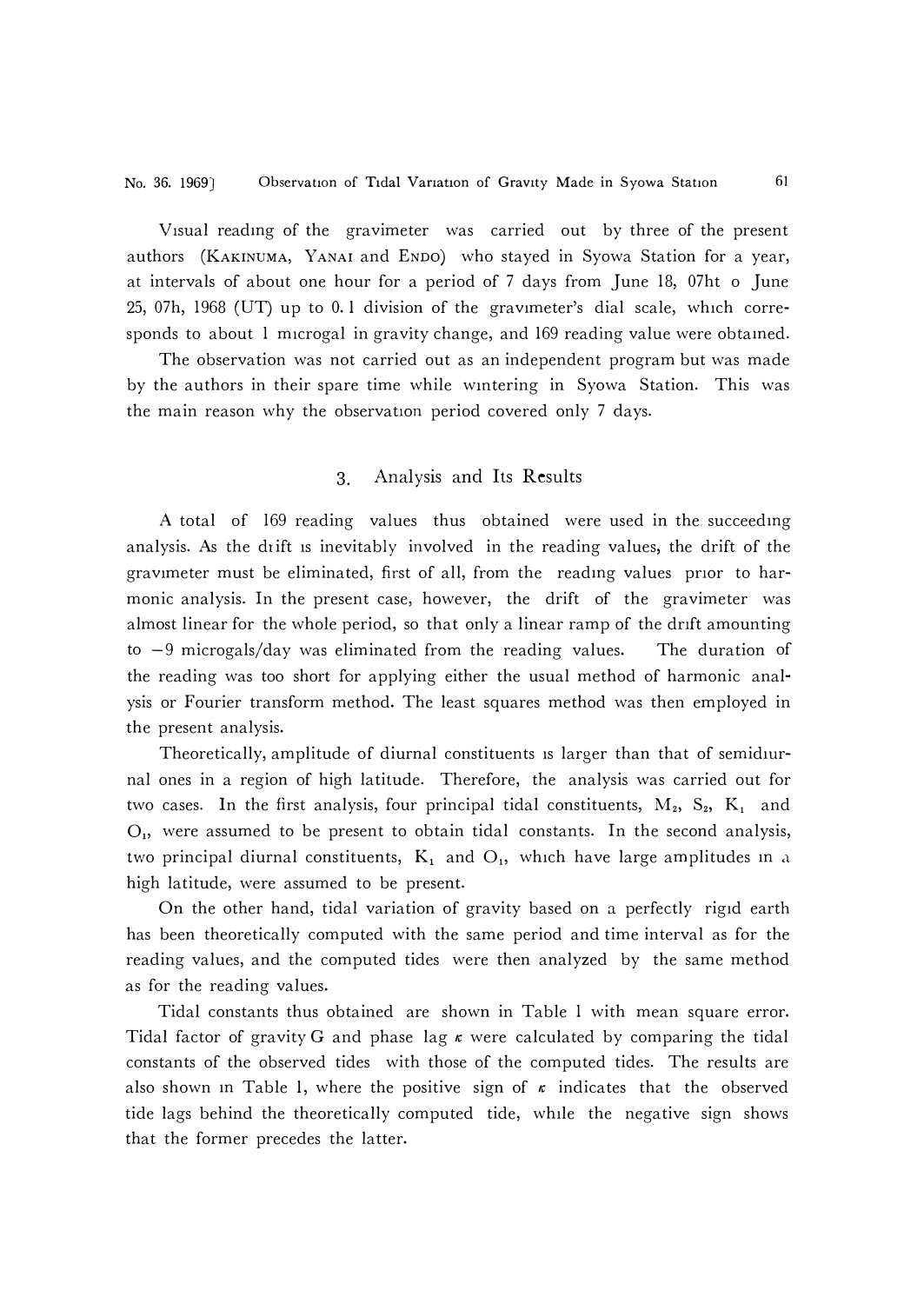Visual readmg of the gravimeter was carried out by three of the present authors (KAKINUMA, YANAI and ENDO) who stayed in Syowa Station for a year, at intervals of about one hour for a period of 7 days from June 18, 07ht o June 25, 07h, 1968 (UT) up to 0. 1 division of the gravimeter's dial scale, which corresponds to about 1 microgal in gravity change, and 169 reading value were obtamed.

The observation was not carried out as an independent program but was made by the authors in their spare time while wmtering in Syowa Station. This was the main reason why the observation period covered only 7 days.

### 3. Analysis and Its Results

A total of 169 reading values thus obtained were used in the succeedmg analysis. As the drift is inevitably involved in the reading values, the drift of the gravimeter must be eliminated, first of all, from the reading values prior to harmonic analysis. In the present case, however, the drift of the gravimeter was almost linear for the whole period, so that only a linear ramp of the drift amounting to  $-9$  microgals/day was eliminated from the reading values. The duration of the reading was too short for applying either the usual method of harmonic analysis or Fourier transform method. The least squares method was then employed in the present analysis.

Theoretically, amplitude of diurnal constituents is larger than that of semidiurnal ones in a region of high latitude. Therefore, the analysis was carried out for two cases. In the first analysis, four principal tidal constituents,  $M_2$ ,  $S_2$ ,  $K_1$  and  $O<sub>1</sub>$ , were assumed to be present to obtain tidal constants. In the second analysis, two principal diurnal constituents,  $K_1$  and  $O_1$ , which have large amplitudes in a high latitude, were assumed to be present.

On the other hand, tidal variation of gravity based on a perfectly rigid earth has been theoretically computed with the same period and time interval as for the reading values, and the computed tides were then analyzed by the same method as for the reading values.

Tidal constants thus obtained are shown in Table 1 with mean square error. Tidal factor of gravity G and phase lag  $\kappa$  were calculated by comparing the tidal constants of the observed tides with those of the computed tides. The results are also shown in Table 1, where the positive sign of  $\kappa$  indicates that the observed tide lags behind the theoretically computed tide, while the negative sign shows that the former precedes the latter.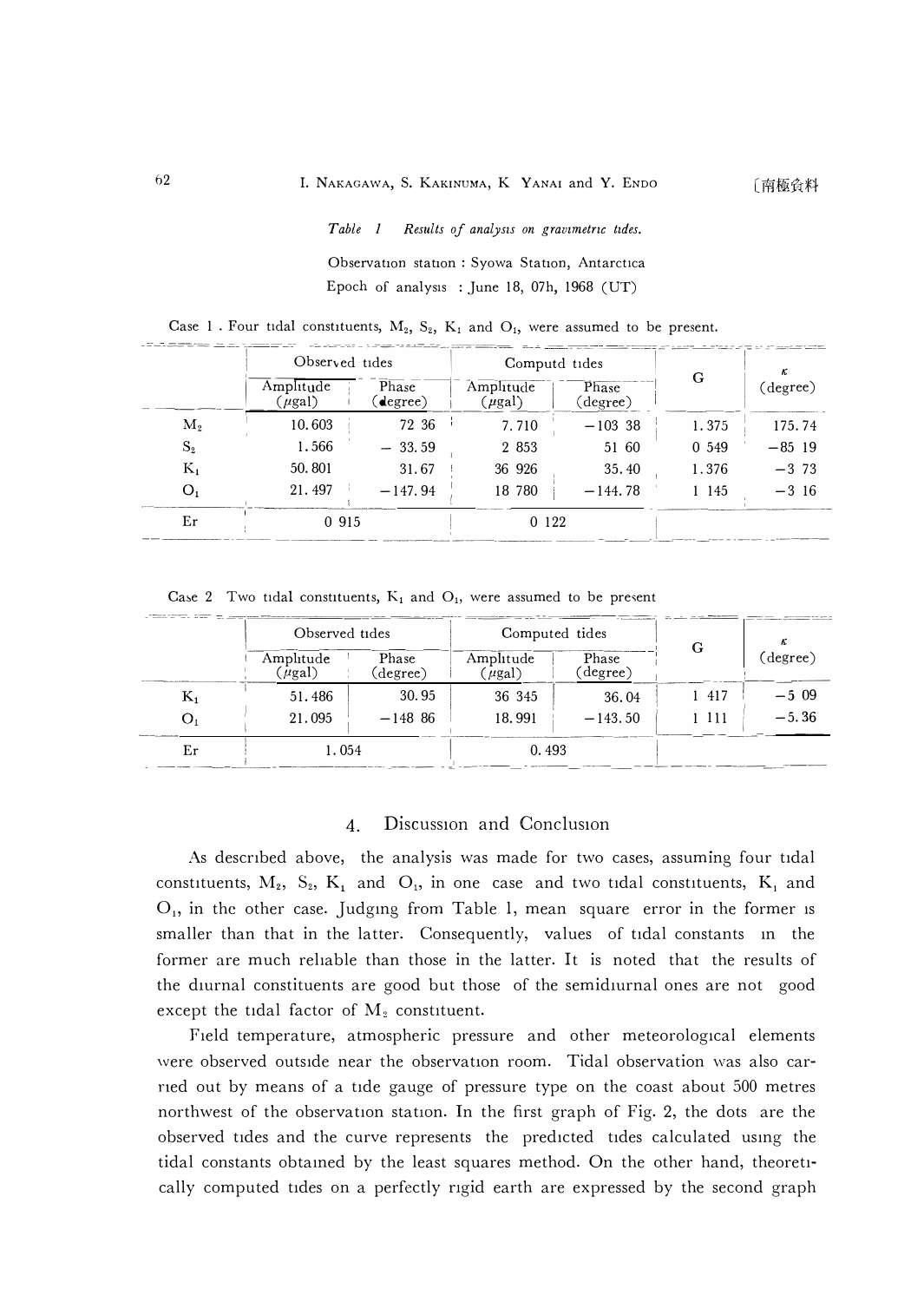Results of analysis on gravimetric tides. Table 1

Observation station: Syowa Station, Antarctica Epoch of analysis : June 18, 07h, 1968 (UT)

|                | Observed tides           |                  | Computd tides            |                   |       | κ<br>(degree) |
|----------------|--------------------------|------------------|--------------------------|-------------------|-------|---------------|
|                | Amplitude<br>$(\mu gal)$ | Phase<br>degree) | Amplitude<br>$(\mu gal)$ | Phase<br>(degree) | G     |               |
| $\mathbf{M}_2$ | 10.603                   | 72 36            | 7.710                    | $-10338$          | 1.375 | 175.74        |
| $S_{2}$        | 1.566                    | $-33.59$         | 2 8 5 3                  | 51 60             | 0 549 | $-85$ 19      |
| $K_1$          | 50.801                   | 31.67            | 36 926                   | 35.40             | 1.376 | $-3, 73$      |
| O <sub>1</sub> | 21.497                   | $-147.94$        | 18 780                   | $-144.78$         | 1 145 | $-3,16$       |
| Er             | 0 915                    |                  | 0 1 2 2                  |                   |       |               |

Case 1. Four tidal constituents,  $M_2$ ,  $S_2$ ,  $K_1$  and  $O_1$ , were assumed to be present.

Case 2 Two tidal constituents,  $K_1$  and  $O_1$ , were assumed to be present

|                | Observed tides           |                   | Computed tides           |                   |     |          |
|----------------|--------------------------|-------------------|--------------------------|-------------------|-----|----------|
|                | Amplitude<br>$(\mu gal)$ | Phase<br>(degree) | Amplitude<br>$(\mu gal)$ | Phase<br>(degree) | G   | (degree) |
| $\mathrm{K}_1$ | 51.486                   | 30.95             | 36 345                   | 36.04             | 417 | $-5.09$  |
| O,             | 21.095                   | $-148$ 86         | 18.991                   | $-143.50$         | 111 | $-5.36$  |
| Er             | 1.054                    |                   | 0.493                    |                   |     |          |

#### Discussion and Conclusion  $\overline{4}$ .

As described above, the analysis was made for two cases, assuming four tidal constituents,  $M_2$ ,  $S_2$ ,  $K_1$  and  $O_1$ , in one case and two tidal constituents,  $K_1$  and  $O<sub>1</sub>$ , in the other case. Judging from Table 1, mean square error in the former is smaller than that in the latter. Consequently, values of tidal constants in the former are much reliable than those in the latter. It is noted that the results of the diurnal constituents are good but those of the semidiurnal ones are not good except the tidal factor of  $M_2$  constituent.

Field temperature, atmospheric pressure and other meteorological elements were observed outside near the observation room. Tidal observation was also carried out by means of a tide gauge of pressure type on the coast about 500 metres northwest of the observation station. In the first graph of Fig. 2, the dots are the observed tides and the curve represents the predicted tides calculated using the tidal constants obtained by the least squares method. On the other hand, theoretically computed tides on a perfectly rigid earth are expressed by the second graph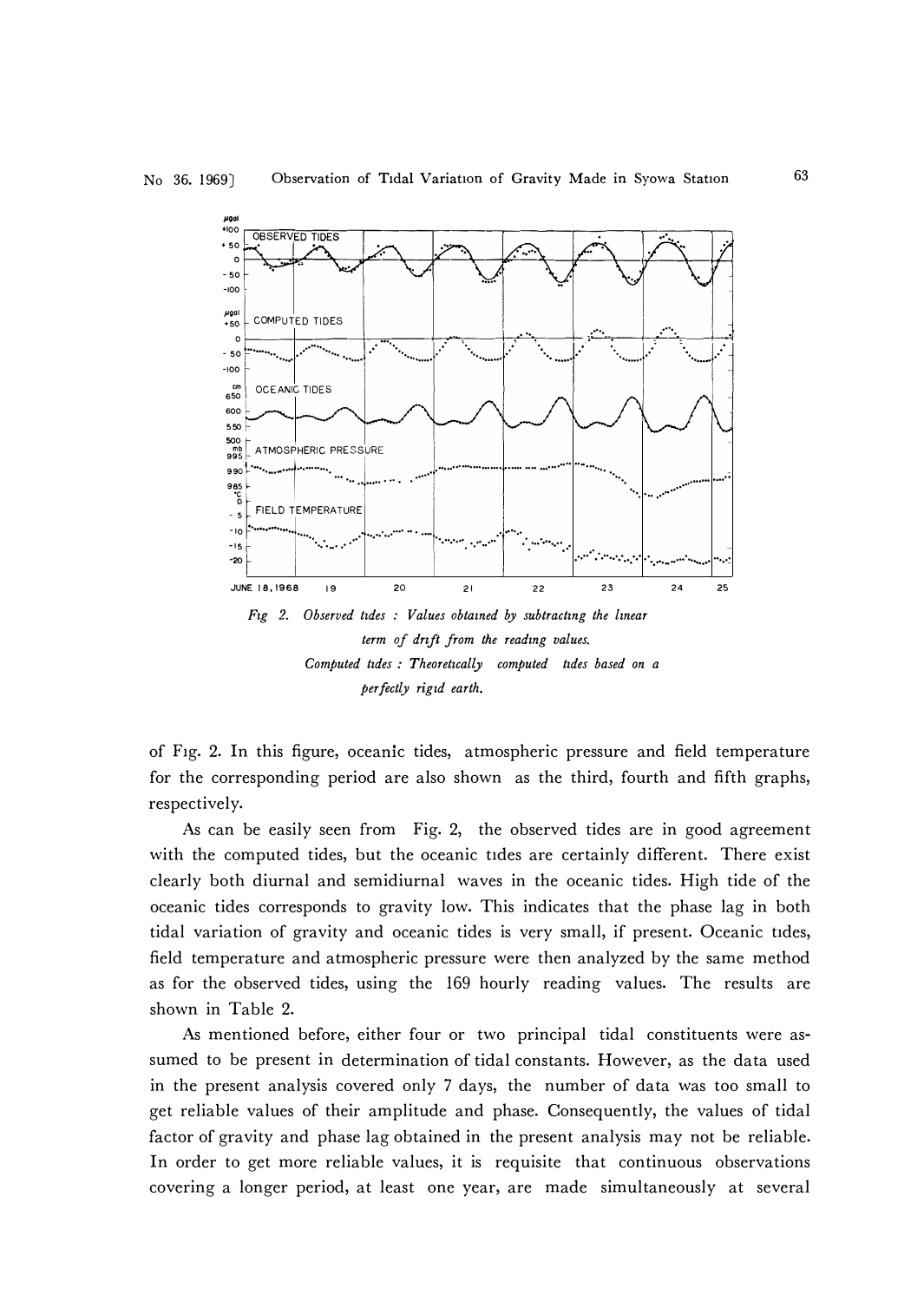

perfectly rigid earth.

of Fig. 2. In this figure, oceanic tides, atmospheric pressure and field temperature for the corresponding period are also shown as the third, fourth and fifth graphs, respectively.

As can be easily seen from Fig. 2, the observed tides are in good agreement with the computed tides, but the oceanic tides are certainly different. There exist clearly both diurnal and semidiurnal waves in the oceanic tides. High tide of the oceanic tides corresponds to gravity low. This indicates that the phase lag in both tidal variation of gravity and oceanic tides is very small, if present. Oceanic tides, field temperature and atmospheric pressure were then analyzed by the same method as for the observed tides, using the 169 hourly reading values. The results are shown in Table 2.

As mentioned before, either four or two principal tidal constituents were assumed to be present in determination of tidal constants. However, as the data used in the present analysis covered only 7 days, the number of data was too small to get reliable values of their amplitude and phase. Consequently, the values of tidal factor of gravity and phase lag obtained in the present analysis may not be reliable. In order to get more reliable values, it is requisite that continuous observations covering a longer period, at least one year, are made simultaneously at several